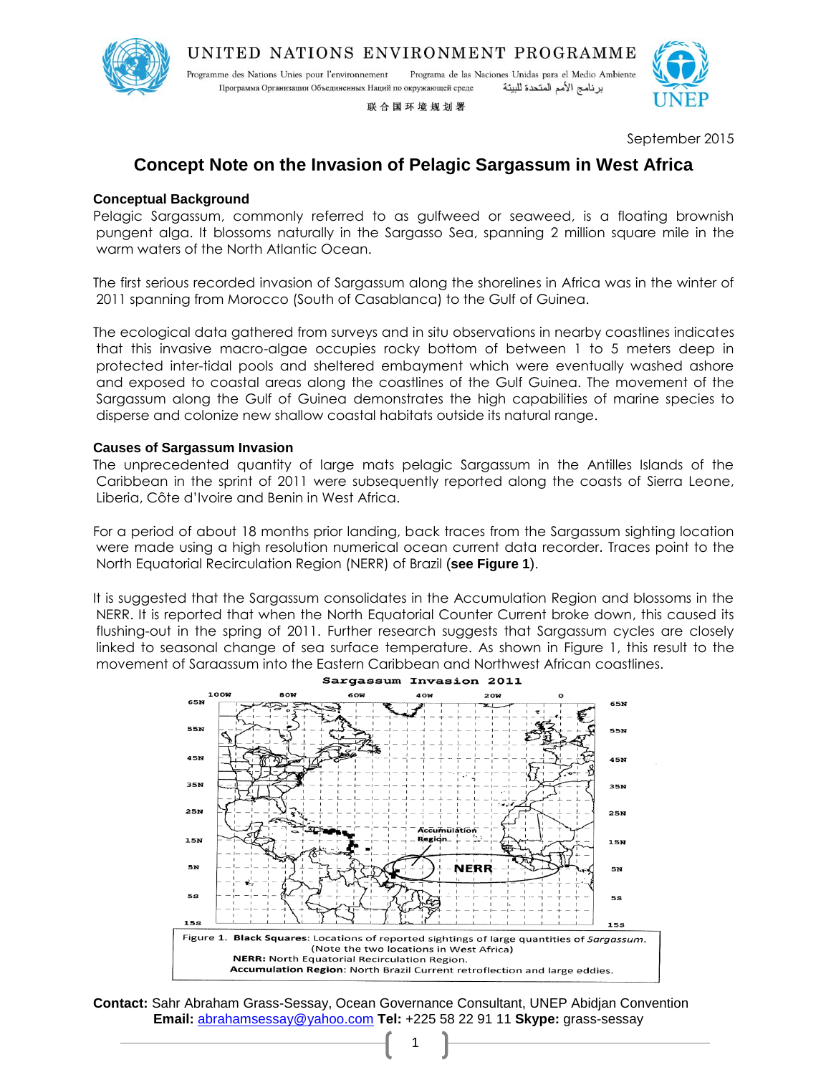

UNITED NATIONS ENVIRONMENT PROGRAMME

Programa de las Naciones Unidas para el Medio Ambiente Programme des Nations Unies pour l'environnement Программа Организации Объединенных Наций по окружающей среде برنامج الأمم المتحدة للبيئة

联合国环境规划署



September 2015

# **Concept Note on the Invasion of Pelagic Sargassum in West Africa**

## **Conceptual Background**

Pelagic Sargassum, commonly referred to as gulfweed or seaweed, is a floating brownish pungent alga. It blossoms naturally in the Sargasso Sea, spanning 2 million square mile in the warm waters of the North Atlantic Ocean.

The first serious recorded invasion of Sargassum along the shorelines in Africa was in the winter of 2011 spanning from Morocco (South of Casablanca) to the Gulf of Guinea.

The ecological data gathered from surveys and in situ observations in nearby coastlines indicates that this invasive macro-algae occupies rocky bottom of between 1 to 5 meters deep in protected inter-tidal pools and sheltered embayment which were eventually washed ashore and exposed to coastal areas along the coastlines of the Gulf Guinea. The movement of the Sargassum along the Gulf of Guinea demonstrates the high capabilities of marine species to disperse and colonize new shallow coastal habitats outside its natural range.

## **Causes of Sargassum Invasion**

The unprecedented quantity of large mats pelagic Sargassum in the Antilles Islands of the Caribbean in the sprint of 2011 were subsequently reported along the coasts of Sierra Leone, Liberia, Côte d'Ivoire and Benin in West Africa.

For a period of about 18 months prior landing, back traces from the Sargassum sighting location were made using a high resolution numerical ocean current data recorder. Traces point to the North Equatorial Recirculation Region (NERR) of Brazil (**see Figure 1**).

It is suggested that the Sargassum consolidates in the Accumulation Region and blossoms in the NERR. It is reported that when the North Equatorial Counter Current broke down, this caused its flushing-out in the spring of 2011. Further research suggests that Sargassum cycles are closely linked to seasonal change of sea surface temperature. As shown in Figure 1, this result to the movement of Sargassum into the Eastern Caribbean and Northwest African coastlines.



**Contact:** Sahr Abraham Grass-Sessay, Ocean Governance Consultant, UNEP Abidjan Convention **Email:** [abrahamsessay@yahoo.com](mailto:abrahamsessay@yahoo.com) **Tel:** +225 58 22 91 11 **Skype:** grass-sessay

1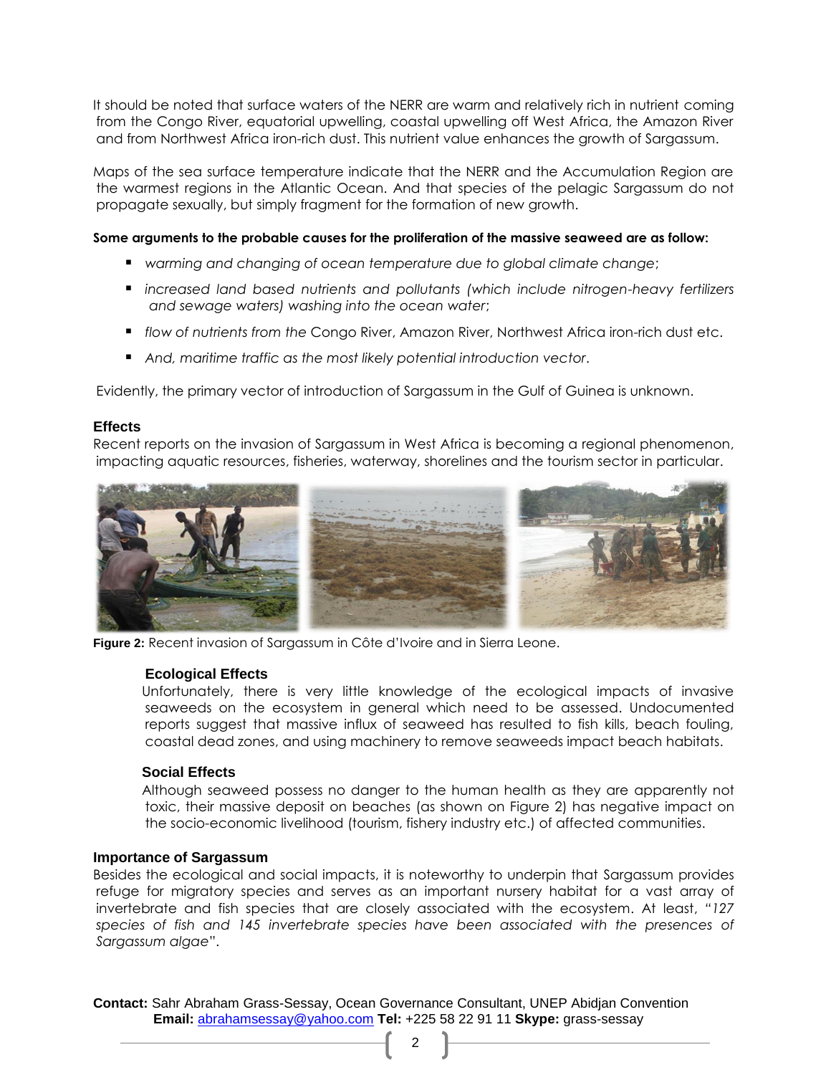It should be noted that surface waters of the NERR are warm and relatively rich in nutrient coming from the Congo River, equatorial upwelling, coastal upwelling off West Africa, the Amazon River and from Northwest Africa iron-rich dust. This nutrient value enhances the growth of Sargassum.

Maps of the sea surface temperature indicate that the NERR and the Accumulation Region are the warmest regions in the Atlantic Ocean. And that species of the pelagic Sargassum do not propagate sexually, but simply fragment for the formation of new growth.

#### **Some arguments to the probable causes for the proliferation of the massive seaweed are as follow:**

- *warming and changing of ocean temperature due to global climate change*;
- *increased land based nutrients and pollutants (which include nitrogen-heavy fertilizers and sewage waters) washing into the ocean water*;
- *flow of nutrients from the* Congo River, Amazon River, Northwest Africa iron-rich dust etc.
- *And, maritime traffic as the most likely potential introduction vector*.

Evidently, the primary vector of introduction of Sargassum in the Gulf of Guinea is unknown.

### **Effects**

Recent reports on the invasion of Sargassum in West Africa is becoming a regional phenomenon, impacting aquatic resources, fisheries, waterway, shorelines and the tourism sector in particular.



**Figure 2:** Recent invasion of Sargassum in Côte d'Ivoire and in Sierra Leone.

#### **Ecological Effects**

Unfortunately, there is very little knowledge of the ecological impacts of invasive seaweeds on the ecosystem in general which need to be assessed. Undocumented reports suggest that massive influx of seaweed has resulted to fish kills, beach fouling, coastal dead zones, and using machinery to remove seaweeds impact beach habitats.

## **Social Effects**

Although seaweed possess no danger to the human health as they are apparently not toxic, their massive deposit on beaches (as shown on Figure 2) has negative impact on the socio-economic livelihood (tourism, fishery industry etc.) of affected communities.

#### **Importance of Sargassum**

Besides the ecological and social impacts, it is noteworthy to underpin that Sargassum provides refuge for migratory species and serves as an important nursery habitat for a vast array of invertebrate and fish species that are closely associated with the ecosystem. At least, *"127 species of fish and 145 invertebrate species have been associated with the presences of Sargassum algae*".

**Contact:** Sahr Abraham Grass-Sessay, Ocean Governance Consultant, UNEP Abidjan Convention **Email:** [abrahamsessay@yahoo.com](mailto:abrahamsessay@yahoo.com) **Tel:** +225 58 22 91 11 **Skype:** grass-sessay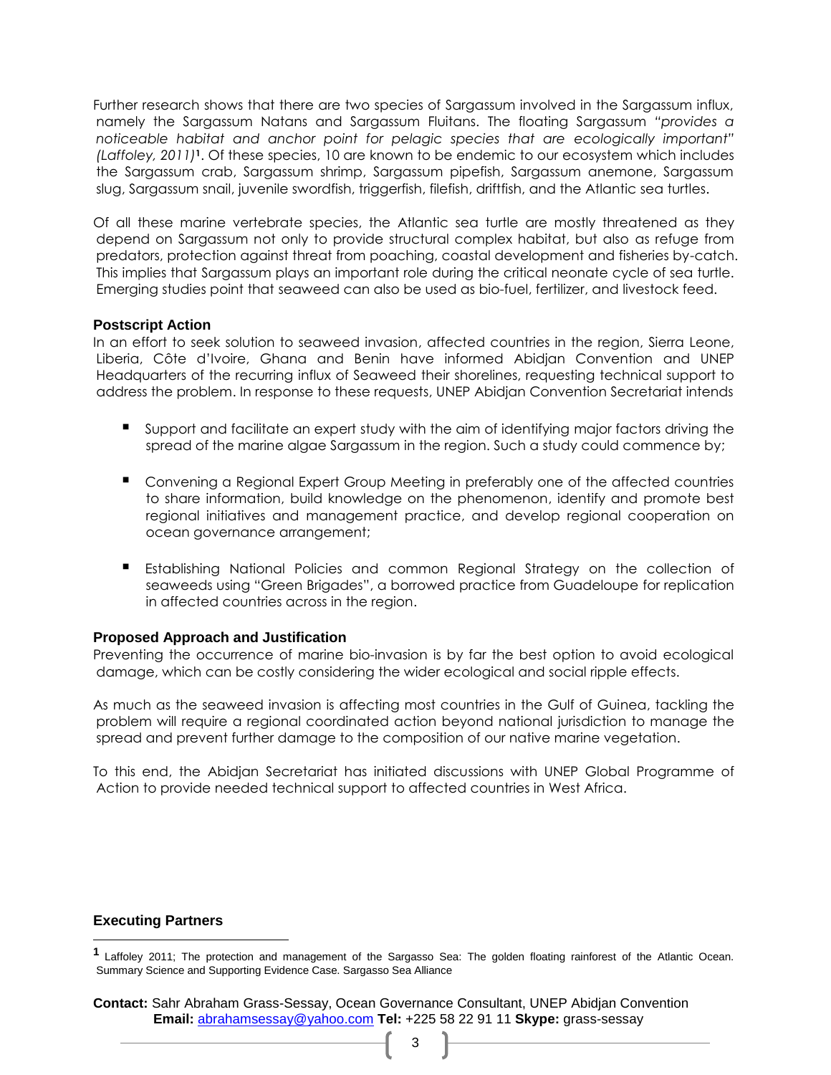Further research shows that there are two species of Sargassum involved in the Sargassum influx, namely the Sargassum Natans and Sargassum Fluitans. The floating Sargassum *"provides a noticeable habitat and anchor point for pelagic species that are ecologically important" (Laffoley, 2011)***1**. Of these species, 10 are known to be endemic to our ecosystem which includes the Sargassum crab, Sargassum shrimp, Sargassum pipefish, Sargassum anemone, Sargassum slug, Sargassum snail, juvenile swordfish, triggerfish, filefish, driftfish, and the Atlantic sea turtles.

Of all these marine vertebrate species, the Atlantic sea turtle are mostly threatened as they depend on Sargassum not only to provide structural complex habitat, but also as refuge from predators, protection against threat from poaching, coastal development and fisheries by-catch. This implies that Sargassum plays an important role during the critical neonate cycle of sea turtle. Emerging studies point that seaweed can also be used as bio-fuel, fertilizer, and livestock feed.

## **Postscript Action**

In an effort to seek solution to seaweed invasion, affected countries in the region, Sierra Leone, Liberia, Côte d'Ivoire, Ghana and Benin have informed Abidjan Convention and UNEP Headquarters of the recurring influx of Seaweed their shorelines, requesting technical support to address the problem. In response to these requests, UNEP Abidjan Convention Secretariat intends

- Support and facilitate an expert study with the aim of identifying major factors driving the spread of the marine algae Sargassum in the region. Such a study could commence by;
- Convening a Regional Expert Group Meeting in preferably one of the affected countries to share information, build knowledge on the phenomenon, identify and promote best regional initiatives and management practice, and develop regional cooperation on ocean governance arrangement;
- Establishing National Policies and common Regional Strategy on the collection of seaweeds using "Green Brigades", a borrowed practice from Guadeloupe for replication in affected countries across in the region.

## **Proposed Approach and Justification**

Preventing the occurrence of marine bio-invasion is by far the best option to avoid ecological damage, which can be costly considering the wider ecological and social ripple effects.

As much as the seaweed invasion is affecting most countries in the Gulf of Guinea, tackling the problem will require a regional coordinated action beyond national jurisdiction to manage the spread and prevent further damage to the composition of our native marine vegetation.

To this end, the Abidjan Secretariat has initiated discussions with UNEP Global Programme of Action to provide needed technical support to affected countries in West Africa.

#### **Executing Partners**

l

**<sup>1</sup>** Laffoley 2011; The protection and management of the Sargasso Sea: The golden floating rainforest of the Atlantic Ocean. Summary Science and Supporting Evidence Case. Sargasso Sea Alliance